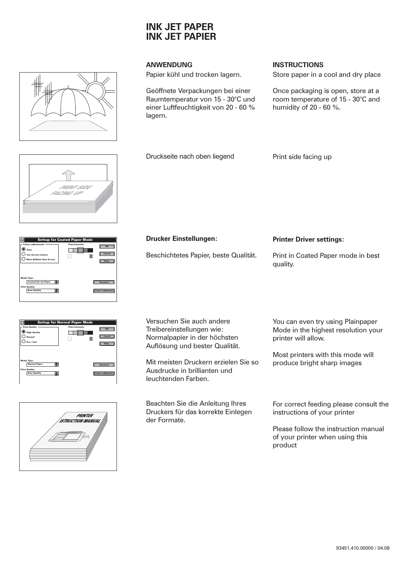# **INK JET PAPER INK JET PAPIER**

Papier kühl und trocken lagern.

Druckseite nach oben liegend

Geöffnete Verpackungen bei einer Raumtemperatur von 15 - 30°C und einer Luftfeuchtigkeit von 20 - 60 % lagern.

### **ANWENDUNG INSTRUCTIONS**

Print side facing up

Store paper in a cool and dry place

Once packaging is open, store at a room temperature of 15 - 30°C and humidity of 20 - 60 %.

PRINT SIDE FACING UP

| <b>Settup for Coated Paper Mode</b>                                                                   |                         |                                              |  |  |
|-------------------------------------------------------------------------------------------------------|-------------------------|----------------------------------------------|--|--|
| <b>Colour adjustments</b><br>) Auto<br><b>Use Screen Colours</b><br><b>More Brilliant than Screen</b> | <b>Print Intensity:</b> | OK<br>Cancel<br>Help                         |  |  |
| <b>Media Type:</b><br><b>Coated Ink Jet Paper</b><br><b>Print Quality:</b><br><b>Best Quality</b>     |                         | <b>Standard</b><br><b>Colour calibration</b> |  |  |

| <b>Settup for Normal Paper Mode</b>                                 |                                                 |  |  |
|---------------------------------------------------------------------|-------------------------------------------------|--|--|
| <b>Print Quality</b><br><b>High Quality</b><br>Normal<br>Eco / fast | <b>Print Intensity:</b><br>OK<br>Cancel<br>Help |  |  |
| Media Type:<br><b>Narmal Paper</b>                                  | <b>Standard</b>                                 |  |  |
| <b>Print Quality:</b><br><b>Best Quality</b>                        | <b>Colour calibration</b>                       |  |  |



| Drucker Einstellungen:                | <b>Printer Driver settings:</b>                |
|---------------------------------------|------------------------------------------------|
| Beschichtetes Papier, beste Qualität. | Print in Coated Paper mode in best<br>quality. |

Versuchen Sie auch andere Treibereinstellungen wie: Normalpapier in der höchsten Auflösung und bester Qualität.

Mit meisten Druckern erzielen Sie so Ausdrucke in brillianten und leuchtenden Farben.

Beachten Sie die Anleitung Ihres Druckers für das korrekte Einlegen der Formate.

You can even try using Plainpaper Mode in the highest resolution your printer will allow.

Most printers with this mode will produce bright sharp images

For correct feeding please consult the instructions of your printer

Please follow the instruction manual of your printer when using this product